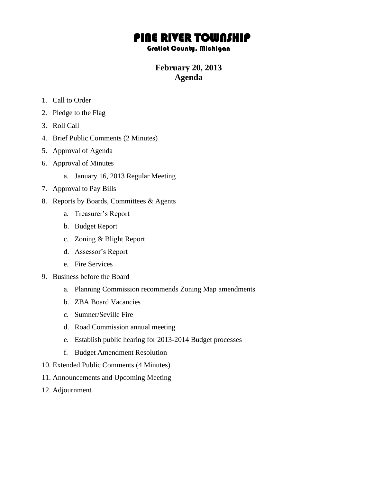# PINE RIVER TOWNSHIP

#### Gratiot County, Michigan

## **February 20, 2013 Agenda**

- 1. Call to Order
- 2. Pledge to the Flag
- 3. Roll Call
- 4. Brief Public Comments (2 Minutes)
- 5. Approval of Agenda
- 6. Approval of Minutes
	- a. January 16, 2013 Regular Meeting
- 7. Approval to Pay Bills
- 8. Reports by Boards, Committees & Agents
	- a. Treasurer's Report
	- b. Budget Report
	- c. Zoning & Blight Report
	- d. Assessor's Report
	- e. Fire Services
- 9. Business before the Board
	- a. Planning Commission recommends Zoning Map amendments
	- b. ZBA Board Vacancies
	- c. Sumner/Seville Fire
	- d. Road Commission annual meeting
	- e. Establish public hearing for 2013-2014 Budget processes
	- f. Budget Amendment Resolution
- 10. Extended Public Comments (4 Minutes)
- 11. Announcements and Upcoming Meeting
- 12. Adjournment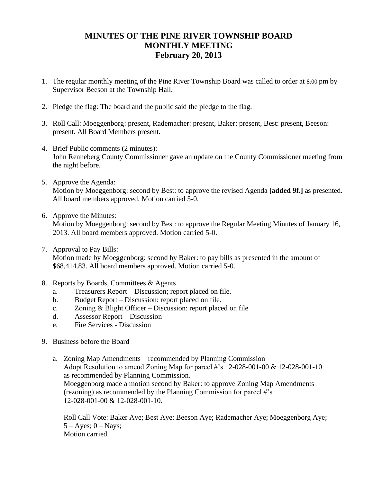### **MINUTES OF THE PINE RIVER TOWNSHIP BOARD MONTHLY MEETING February 20, 2013**

- 1. The regular monthly meeting of the Pine River Township Board was called to order at 8:00 pm by Supervisor Beeson at the Township Hall.
- 2. Pledge the flag: The board and the public said the pledge to the flag.
- 3. Roll Call: Moeggenborg: present, Rademacher: present, Baker: present, Best: present, Beeson: present. All Board Members present.
- 4. Brief Public comments (2 minutes): John Renneberg County Commissioner gave an update on the County Commissioner meeting from the night before.
- 5. Approve the Agenda: Motion by Moeggenborg: second by Best: to approve the revised Agenda **[added 9f.]** as presented. All board members approved. Motion carried 5-0.
- 6. Approve the Minutes:

Motion by Moeggenborg: second by Best: to approve the Regular Meeting Minutes of January 16, 2013. All board members approved. Motion carried 5-0.

7. Approval to Pay Bills:

Motion made by Moeggenborg: second by Baker: to pay bills as presented in the amount of \$68,414.83. All board members approved. Motion carried 5-0.

- 8. Reports by Boards, Committees & Agents
	- a. Treasurers Report Discussion; report placed on file.
	- b. Budget Report Discussion: report placed on file.
	- c. Zoning & Blight Officer Discussion: report placed on file
	- d. Assessor Report Discussion
	- e. Fire Services Discussion
- 9. Business before the Board
	- a. Zoning Map Amendments recommended by Planning Commission Adopt Resolution to amend Zoning Map for parcel #'s 12-028-001-00 & 12-028-001-10 as recommended by Planning Commission. Moeggenborg made a motion second by Baker: to approve Zoning Map Amendments (rezoning) as recommended by the Planning Commission for parcel #'s 12-028-001-00 & 12-028-001-10.

Roll Call Vote: Baker Aye; Best Aye; Beeson Aye; Rademacher Aye; Moeggenborg Aye;  $5 - Ayes$ ;  $0 - Nays$ ; Motion carried.